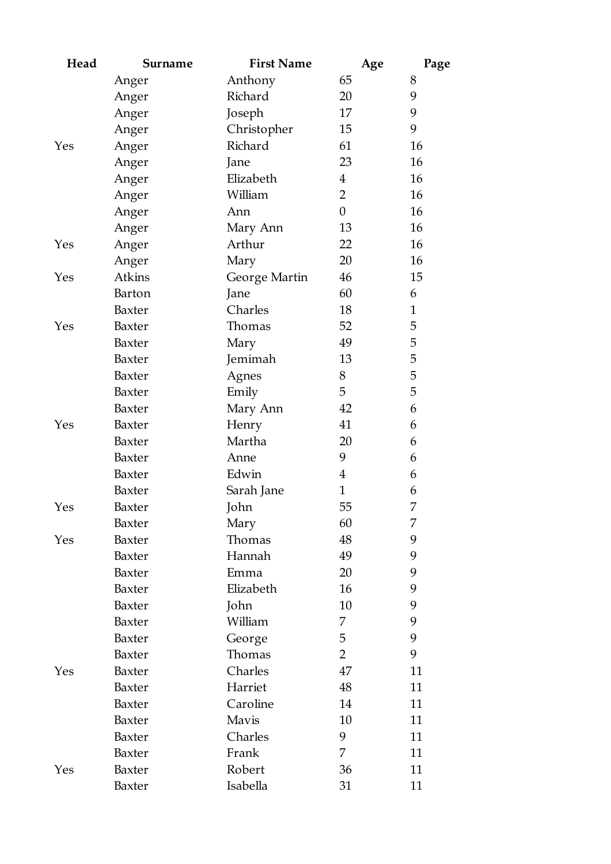| Head | <b>Surname</b> | <b>First Name</b> | Age            | Page         |
|------|----------------|-------------------|----------------|--------------|
|      | Anger          | Anthony           | 65             | 8            |
|      | Anger          | Richard           | 20             | 9            |
|      | Anger          | Joseph            | 17             | 9            |
|      | Anger          | Christopher       | 15             | 9            |
| Yes  | Anger          | Richard           | 61             | 16           |
|      | Anger          | Jane              | 23             | 16           |
|      | Anger          | Elizabeth         | $\overline{4}$ | 16           |
|      | Anger          | William           | $\overline{2}$ | 16           |
|      | Anger          | Ann               | $\theta$       | 16           |
|      | Anger          | Mary Ann          | 13             | 16           |
| Yes  | Anger          | Arthur            | 22             | 16           |
|      | Anger          | Mary              | 20             | 16           |
| Yes  | Atkins         | George Martin     | 46             | $15\,$       |
|      | Barton         | Jane              | 60             | 6            |
|      | Baxter         | Charles           | 18             | $\mathbf{1}$ |
| Yes  | Baxter         | Thomas            | 52             | 5            |
|      | Baxter         | Mary              | 49             | 5            |
|      | Baxter         | Jemimah           | 13             | 5            |
|      | Baxter         | Agnes             | 8              | 5            |
|      | Baxter         | Emily             | 5              | 5            |
|      | Baxter         | Mary Ann          | 42             | 6            |
| Yes  | Baxter         | Henry             | 41             | 6            |
|      | Baxter         | Martha            | 20             | 6            |
|      | Baxter         | Anne              | 9              | 6            |
|      | Baxter         | Edwin             | $\overline{4}$ | 6            |
|      | Baxter         | Sarah Jane        | $\mathbf{1}$   | 6            |
| Yes  | Baxter         | John              | 55             | 7            |
|      | Baxter         | Mary              | 60             | 7            |
| Yes  | Baxter         | Thomas            | 48             | 9            |
|      | Baxter         | Hannah            | 49             | 9            |
|      | Baxter         | Emma              | 20             | 9            |
|      | Baxter         | Elizabeth         | 16             | 9            |
|      | Baxter         | John              | 10             | 9            |
|      | Baxter         | William           | 7              | 9            |
|      | Baxter         | George            | 5              | 9            |
|      | Baxter         | Thomas            | $\overline{2}$ | 9            |
| Yes  | Baxter         | Charles           | 47             | 11           |
|      | Baxter         | Harriet           | 48             | 11           |
|      | Baxter         | Caroline          | 14             | 11           |
|      | Baxter         | Mavis             | 10             | 11           |
|      | Baxter         | Charles           | 9              | 11           |
|      | Baxter         | Frank             | 7              | 11           |
| Yes  | Baxter         | Robert            | 36             | 11           |
|      | Baxter         | Isabella          | 31             | 11           |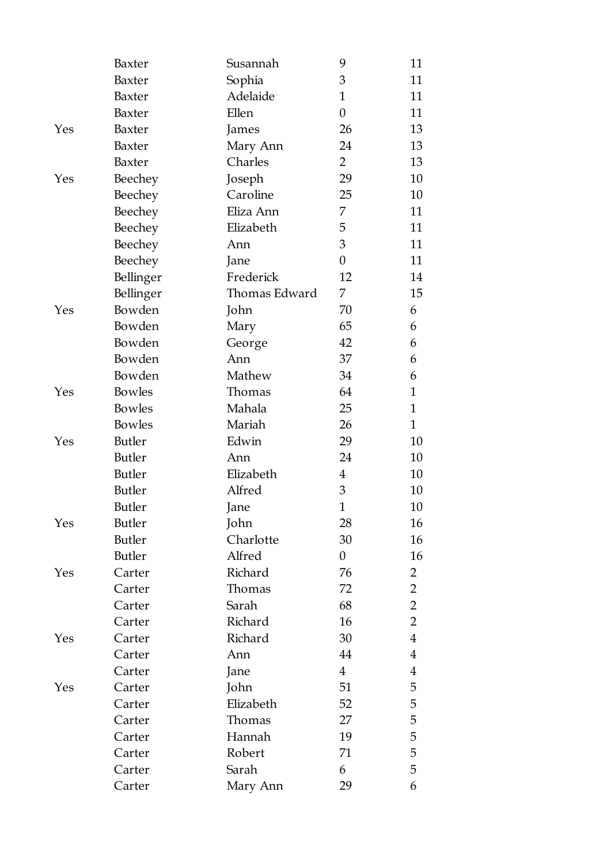|     | Baxter        | Susannah      | 9                | 11             |
|-----|---------------|---------------|------------------|----------------|
|     | Baxter        | Sophia        | 3                | 11             |
|     | Baxter        | Adelaide      | $\mathbf{1}$     | 11             |
|     | Baxter        | Ellen         | $\theta$         | 11             |
| Yes | Baxter        | James         | 26               | 13             |
|     | Baxter        | Mary Ann      | 24               | 13             |
|     | Baxter        | Charles       | $\overline{2}$   | 13             |
| Yes | Beechey       | Joseph        | 29               | 10             |
|     | Beechey       | Caroline      | 25               | 10             |
|     | Beechey       | Eliza Ann     | 7                | 11             |
|     | Beechey       | Elizabeth     | 5                | 11             |
|     | Beechey       | Ann           | 3                | 11             |
|     | Beechey       | Jane          | $\boldsymbol{0}$ | 11             |
|     | Bellinger     | Frederick     | 12               | 14             |
|     | Bellinger     | Thomas Edward | 7                | 15             |
| Yes | Bowden        | John          | 70               | 6              |
|     | Bowden        | Mary          | 65               | 6              |
|     | Bowden        | George        | 42               | 6              |
|     | Bowden        | Ann           | 37               | 6              |
|     | Bowden        | Mathew        | 34               | 6              |
| Yes | Bowles        | Thomas        | 64               | $\mathbf{1}$   |
|     | Bowles        | Mahala        | 25               | $\mathbf{1}$   |
|     | <b>Bowles</b> | Mariah        | 26               | $\mathbf{1}$   |
| Yes | <b>Butler</b> | Edwin         | 29               | 10             |
|     | <b>Butler</b> | Ann           | 24               | 10             |
|     | <b>Butler</b> | Elizabeth     | $\overline{4}$   | 10             |
|     | <b>Butler</b> | Alfred        | 3                | 10             |
|     | <b>Butler</b> | Jane          | $\mathbf{1}$     | 10             |
| Yes | <b>Butler</b> | John          | 28               | 16             |
|     | <b>Butler</b> | Charlotte     | 30               | 16             |
|     | <b>Butler</b> | Alfred        | $\boldsymbol{0}$ | 16             |
| Yes | Carter        | Richard       | 76               | 2              |
|     | Carter        | Thomas        | 72               | $\overline{2}$ |
|     | Carter        | Sarah         | 68               | $\overline{2}$ |
|     | Carter        | Richard       | 16               | $\overline{2}$ |
| Yes | Carter        | Richard       | 30               | 4              |
|     | Carter        | Ann           | 44               | 4              |
|     | Carter        | Jane          | $\overline{4}$   | 4              |
| Yes | Carter        | John          | 51               | 5              |
|     | Carter        | Elizabeth     | 52               | 5              |
|     | Carter        | Thomas        | 27               | 5              |
|     | Carter        | Hannah        | 19               | 5              |
|     | Carter        | Robert        | 71               | 5              |
|     | Carter        | Sarah         | 6                | 5              |
|     | Carter        | Mary Ann      | 29               | 6              |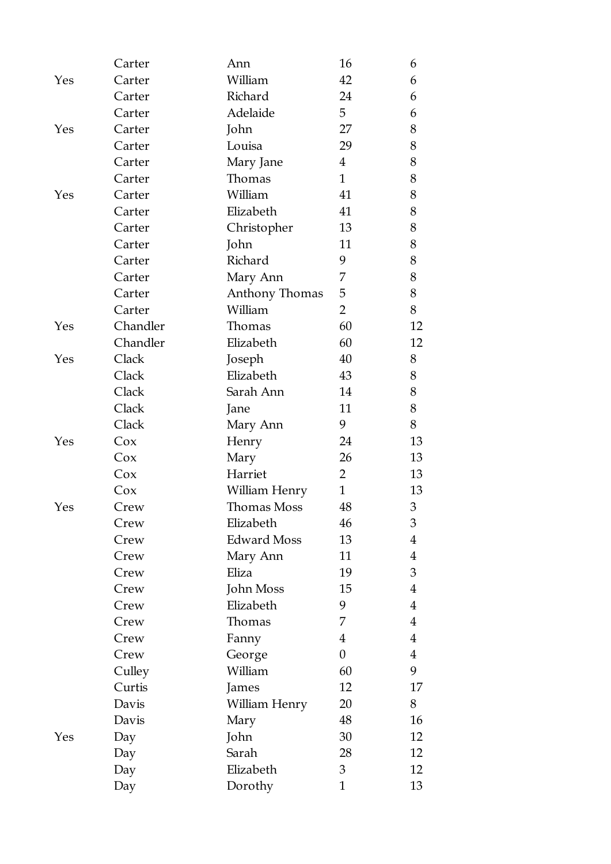|     | Carter   | Ann                | 16               | 6              |
|-----|----------|--------------------|------------------|----------------|
| Yes | Carter   | William            | 42               | 6              |
|     | Carter   | Richard            | 24               | 6              |
|     | Carter   | Adelaide           | 5                | 6              |
| Yes | Carter   | John               | 27               | 8              |
|     | Carter   | Louisa             | 29               | 8              |
|     | Carter   | Mary Jane          | $\overline{4}$   | 8              |
|     | Carter   | Thomas             | $\mathbf{1}$     | 8              |
| Yes | Carter   | William            | 41               | 8              |
|     | Carter   | Elizabeth          | 41               | 8              |
|     | Carter   | Christopher        | 13               | 8              |
|     | Carter   | John               | 11               | 8              |
|     | Carter   | Richard            | 9                | 8              |
|     | Carter   | Mary Ann           | 7                | 8              |
|     | Carter   | Anthony Thomas     | 5                | 8              |
|     | Carter   | William            | $\overline{2}$   | 8              |
| Yes | Chandler | Thomas             | 60               | 12             |
|     | Chandler | Elizabeth          | 60               | 12             |
| Yes | Clack    | Joseph             | 40               | 8              |
|     | Clack    | Elizabeth          | 43               | 8              |
|     | Clack    | Sarah Ann          | 14               | 8              |
|     | Clack    | Jane               | 11               | 8              |
|     | Clack    | Mary Ann           | 9                | 8              |
| Yes | Cox      | Henry              | 24               | 13             |
|     | Cox      | Mary               | 26               | 13             |
|     | Cox      | Harriet            | $\overline{2}$   | 13             |
|     | Cox      | William Henry      | $\mathbf{1}$     | 13             |
| Yes | Crew     | <b>Thomas Moss</b> | 48               | 3              |
|     | Crew     | Elizabeth          | 46               | 3              |
|     | Crew     | <b>Edward Moss</b> | 13               | 4              |
|     | Crew     | Mary Ann           | 11               | 4              |
|     | Crew     | Eliza              | 19               | 3              |
|     | Crew     | John Moss          | 15               | 4              |
|     | Crew     | Elizabeth          | 9                | $\overline{4}$ |
|     | Crew     | Thomas             | 7                | $\overline{4}$ |
|     | Crew     | Fanny              | $\overline{4}$   | 4              |
|     | Crew     | George             | $\boldsymbol{0}$ | $\overline{4}$ |
|     | Culley   | William            | 60               | 9              |
|     | Curtis   | James              | 12               | 17             |
|     | Davis    | William Henry      | 20               | 8              |
|     | Davis    | Mary               | 48               | 16             |
| Yes | Day      | John               | 30               | 12             |
|     | Day      | Sarah              | 28               | 12             |
|     | Day      | Elizabeth          | 3                | 12             |
|     | Day      | Dorothy            | $\mathbf{1}$     | 13             |
|     |          |                    |                  |                |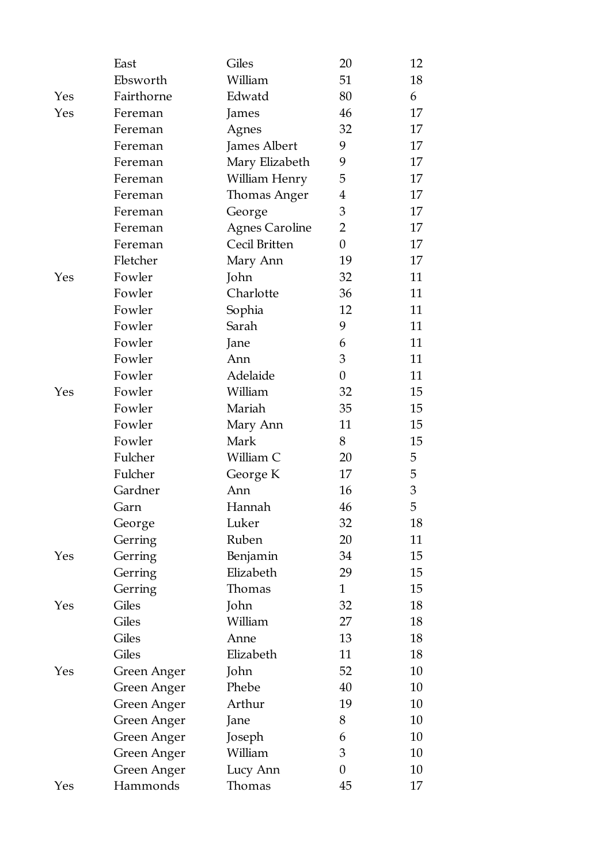|     | East        | Giles                 | 20               | 12             |
|-----|-------------|-----------------------|------------------|----------------|
|     | Ebsworth    | William               | 51               | 18             |
| Yes | Fairthorne  | Edwatd                | 80               | 6              |
| Yes | Fereman     | James                 | 46               | 17             |
|     | Fereman     | Agnes                 | 32               | 17             |
|     | Fereman     | James Albert          | 9                | 17             |
|     | Fereman     | Mary Elizabeth        | 9                | 17             |
|     | Fereman     | William Henry         | 5                | 17             |
|     | Fereman     | Thomas Anger          | $\overline{4}$   | 17             |
|     | Fereman     | George                | 3                | 17             |
|     | Fereman     | <b>Agnes Caroline</b> | $\overline{2}$   | 17             |
|     | Fereman     | Cecil Britten         | $\boldsymbol{0}$ | 17             |
|     | Fletcher    | Mary Ann              | 19               | 17             |
| Yes | Fowler      | John                  | 32               | 11             |
|     | Fowler      | Charlotte             | 36               | 11             |
|     | Fowler      | Sophia                | 12               | 11             |
|     | Fowler      | Sarah                 | 9                | 11             |
|     | Fowler      | Jane                  | 6                | 11             |
|     | Fowler      | Ann                   | 3                | 11             |
|     | Fowler      | Adelaide              | $\boldsymbol{0}$ | 11             |
| Yes | Fowler      | William               | 32               | 15             |
|     | Fowler      | Mariah                | 35               | 15             |
|     | Fowler      | Mary Ann              | 11               | 15             |
|     | Fowler      | Mark                  | 8                | 15             |
|     | Fulcher     | William C             | 20               | 5              |
|     | Fulcher     | George K              | 17               | 5              |
|     | Gardner     | Ann                   | 16               | $\mathfrak{Z}$ |
|     | Garn        | Hannah                | 46               | 5              |
|     | George      | Luker                 | 32               | 18             |
|     | Gerring     | Ruben                 | 20               | 11             |
| Yes | Gerring     | Benjamin              | 34               | 15             |
|     | Gerring     | Elizabeth             | 29               | 15             |
|     | Gerring     | Thomas                | $\mathbf{1}$     | 15             |
| Yes | Giles       | John                  | 32               | 18             |
|     | Giles       | William               | 27               | 18             |
|     | Giles       | Anne                  | 13               | 18             |
|     | Giles       | Elizabeth             | 11               | 18             |
| Yes | Green Anger | John                  | 52               | 10             |
|     | Green Anger | Phebe                 | 40               | 10             |
|     | Green Anger | Arthur                | 19               | 10             |
|     | Green Anger | Jane                  | 8                | 10             |
|     | Green Anger | Joseph                | 6                | 10             |
|     | Green Anger | William               | 3                | 10             |
|     | Green Anger | Lucy Ann              | $\boldsymbol{0}$ | 10             |
| Yes | Hammonds    | Thomas                | 45               | 17             |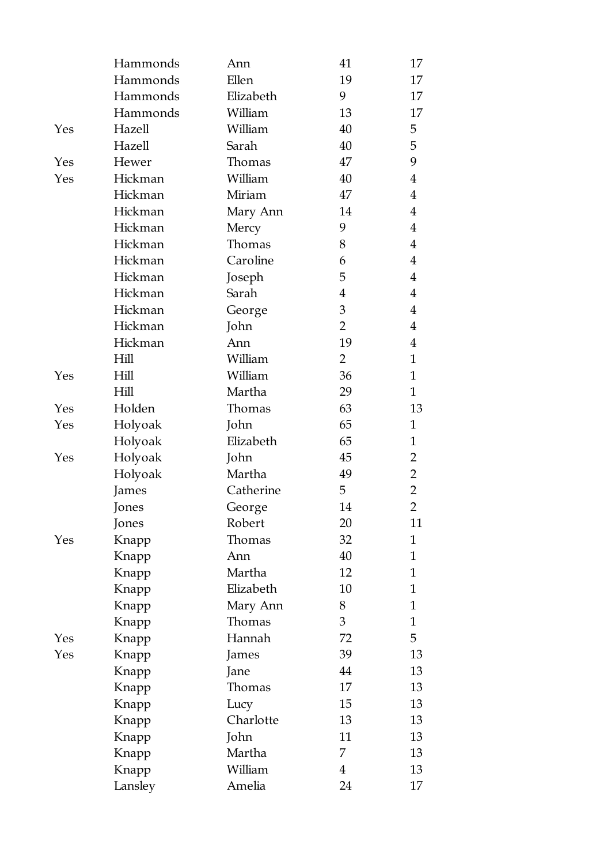|     | Hammonds | Ann       | 41             | 17             |
|-----|----------|-----------|----------------|----------------|
|     | Hammonds | Ellen     | 19             | 17             |
|     | Hammonds | Elizabeth | 9              | 17             |
|     | Hammonds | William   | 13             | 17             |
| Yes | Hazell   | William   | 40             | 5              |
|     | Hazell   | Sarah     | 40             | 5              |
| Yes | Hewer    | Thomas    | 47             | 9              |
| Yes | Hickman  | William   | 40             | $\overline{4}$ |
|     | Hickman  | Miriam    | 47             | $\overline{4}$ |
|     | Hickman  | Mary Ann  | 14             | 4              |
|     | Hickman  | Mercy     | 9              | $\overline{4}$ |
|     | Hickman  | Thomas    | 8              | $\overline{4}$ |
|     | Hickman  | Caroline  | 6              | $\overline{4}$ |
|     | Hickman  | Joseph    | 5              | $\overline{4}$ |
|     | Hickman  | Sarah     | $\overline{4}$ | $\overline{4}$ |
|     | Hickman  | George    | 3              | $\overline{4}$ |
|     | Hickman  | John      | $\overline{2}$ | $\overline{4}$ |
|     | Hickman  | Ann       | 19             | $\overline{4}$ |
|     | Hill     | William   | $\overline{2}$ | $\mathbf{1}$   |
| Yes | Hill     | William   | 36             | $\mathbf{1}$   |
|     | Hill     | Martha    | 29             | $\mathbf{1}$   |
| Yes | Holden   | Thomas    | 63             | 13             |
| Yes | Holyoak  | John      | 65             | $\mathbf{1}$   |
|     | Holyoak  | Elizabeth | 65             | $\mathbf{1}$   |
| Yes | Holyoak  | John      | 45             | 2              |
|     | Holyoak  | Martha    | 49             | $\overline{2}$ |
|     | James    | Catherine | 5              | $\overline{2}$ |
|     | Jones    | George    | 14             | $\overline{2}$ |
|     | Jones    | Robert    | 20             | 11             |
| Yes | Knapp    | Thomas    | 32             | $\mathbf{1}$   |
|     | Knapp    | Ann       | 40             | 1              |
|     | Knapp    | Martha    | 12             | 1              |
|     | Knapp    | Elizabeth | 10             | $\mathbf{1}$   |
|     | Knapp    | Mary Ann  | 8              | 1              |
|     | Knapp    | Thomas    | 3              | 1              |
| Yes | Knapp    | Hannah    | 72             | 5              |
| Yes | Knapp    | James     | 39             | 13             |
|     | Knapp    | Jane      | 44             | 13             |
|     | Knapp    | Thomas    | 17             | 13             |
|     | Knapp    | Lucy      | 15             | 13             |
|     | Knapp    | Charlotte | 13             | 13             |
|     | Knapp    | John      | 11             | 13             |
|     | Knapp    | Martha    | 7              | 13             |
|     | Knapp    | William   | $\overline{4}$ | 13             |
|     | Lansley  | Amelia    | 24             | 17             |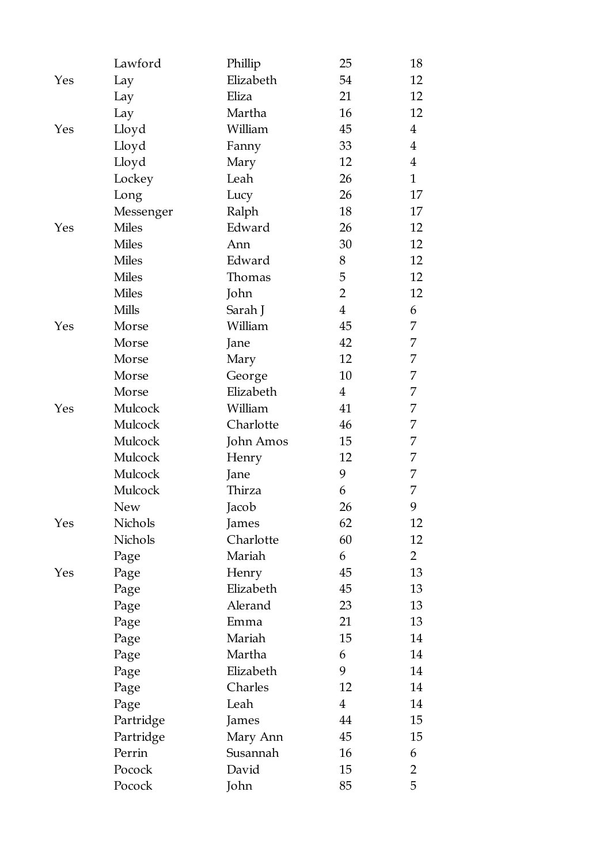|     | Lawford      | Phillip   | 25             | 18             |
|-----|--------------|-----------|----------------|----------------|
| Yes | Lay          | Elizabeth | 54             | 12             |
|     | Lay          | Eliza     | 21             | 12             |
|     | Lay          | Martha    | 16             | 12             |
| Yes | Lloyd        | William   | 45             | $\overline{4}$ |
|     | Lloyd        | Fanny     | 33             | $\overline{4}$ |
|     | Lloyd        | Mary      | 12             | $\overline{4}$ |
|     | Lockey       | Leah      | 26             | $\mathbf{1}$   |
|     | Long         | Lucy      | 26             | 17             |
|     | Messenger    | Ralph     | 18             | 17             |
| Yes | <b>Miles</b> | Edward    | 26             | 12             |
|     | <b>Miles</b> | Ann       | 30             | 12             |
|     | <b>Miles</b> | Edward    | 8              | 12             |
|     | <b>Miles</b> | Thomas    | 5              | 12             |
|     | <b>Miles</b> | John      | $\overline{2}$ | 12             |
|     | <b>Mills</b> | Sarah J   | $\overline{4}$ | 6              |
| Yes | Morse        | William   | 45             | 7              |
|     | Morse        | Jane      | 42             | 7              |
|     | Morse        | Mary      | 12             | 7              |
|     | Morse        | George    | 10             | 7              |
|     | Morse        | Elizabeth | $\overline{4}$ | 7              |
| Yes | Mulcock      | William   | 41             | 7              |
|     | Mulcock      | Charlotte | 46             | 7              |
|     | Mulcock      | John Amos | 15             | 7              |
|     | Mulcock      | Henry     | 12             | 7              |
|     | Mulcock      | Jane      | 9              | 7              |
|     | Mulcock      | Thirza    | 6              | 7              |
|     | <b>New</b>   | Jacob     | 26             | 9              |
| Yes | Nichols      | James     | 62             | 12             |
|     | Nichols      | Charlotte | 60             | 12             |
|     | Page         | Mariah    | 6              | $\overline{2}$ |
| Yes | Page         | Henry     | 45             | 13             |
|     | Page         | Elizabeth | 45             | 13             |
|     | Page         | Alerand   | 23             | 13             |
|     | Page         | Emma      | 21             | 13             |
|     | Page         | Mariah    | 15             | 14             |
|     | Page         | Martha    | 6              | 14             |
|     | Page         | Elizabeth | 9              | 14             |
|     | Page         | Charles   | 12             | 14             |
|     | Page         | Leah      | $\overline{4}$ | 14             |
|     | Partridge    | James     | 44             | 15             |
|     | Partridge    | Mary Ann  | 45             | 15             |
|     | Perrin       | Susannah  | 16             | 6              |
|     | Pocock       | David     | 15             | $\overline{2}$ |
|     | Pocock       | John      | 85             | 5              |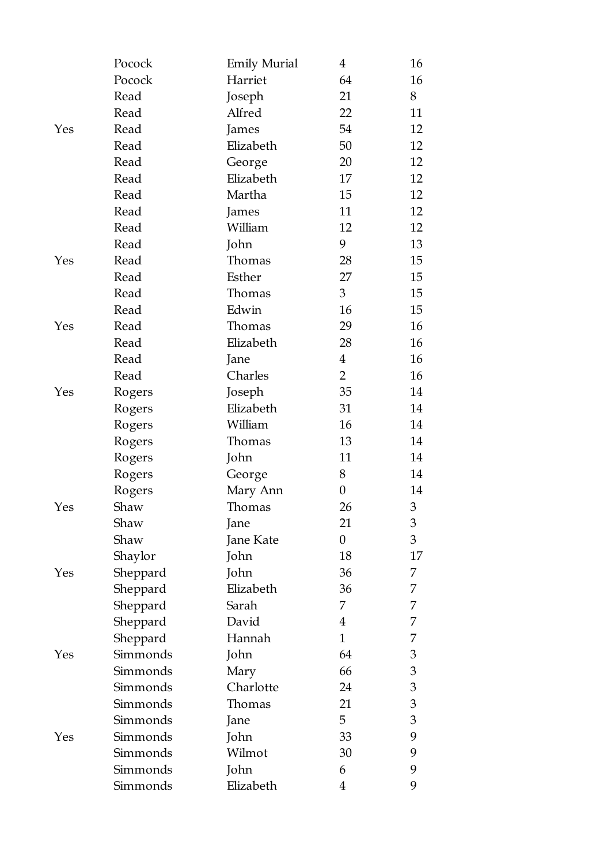|     | Pocock   | <b>Emily Murial</b> | 4                | 16             |
|-----|----------|---------------------|------------------|----------------|
|     | Pocock   | Harriet             | 64               | 16             |
|     | Read     | Joseph              | 21               | 8              |
|     | Read     | Alfred              | 22               | 11             |
| Yes | Read     | James               | 54               | 12             |
|     | Read     | Elizabeth           | 50               | 12             |
|     | Read     | George              | 20               | 12             |
|     | Read     | Elizabeth           | 17               | 12             |
|     | Read     | Martha              | 15               | 12             |
|     | Read     | James               | 11               | 12             |
|     | Read     | William             | 12               | 12             |
|     | Read     | John                | 9                | 13             |
| Yes | Read     | Thomas              | 28               | 15             |
|     | Read     | Esther              | 27               | 15             |
|     | Read     | Thomas              | 3                | 15             |
|     | Read     | Edwin               | 16               | 15             |
| Yes | Read     | Thomas              | 29               | 16             |
|     | Read     | Elizabeth           | 28               | 16             |
|     | Read     | Jane                | $\overline{4}$   | 16             |
|     | Read     | Charles             | $\overline{2}$   | 16             |
| Yes | Rogers   | Joseph              | 35               | 14             |
|     | Rogers   | Elizabeth           | 31               | 14             |
|     | Rogers   | William             | 16               | 14             |
|     | Rogers   | Thomas              | 13               | 14             |
|     | Rogers   | John                | 11               | 14             |
|     | Rogers   | George              | 8                | 14             |
|     | Rogers   | Mary Ann            | $\boldsymbol{0}$ | 14             |
| Yes | Shaw     | Thomas              | 26               | 3              |
|     | Shaw     | Jane                | 21               | 3              |
|     | Shaw     | Jane Kate           | $\boldsymbol{0}$ | 3              |
|     | Shaylor  | John                | 18               | 17             |
| Yes | Sheppard | John                | 36               | 7              |
|     | Sheppard | Elizabeth           | 36               | 7              |
|     | Sheppard | Sarah               | 7                | 7              |
|     | Sheppard | David               | 4                | 7              |
|     | Sheppard | Hannah              | $\mathbf{1}$     | 7              |
| Yes | Simmonds | John                | 64               | 3              |
|     | Simmonds | Mary                | 66               | 3              |
|     | Simmonds | Charlotte           | 24               | $\mathfrak{B}$ |
|     | Simmonds | Thomas              | 21               | 3              |
|     | Simmonds | Jane                | 5                | 3              |
| Yes | Simmonds | John                | 33               | 9              |
|     | Simmonds | Wilmot              | 30               | 9              |
|     | Simmonds | John                | 6                | 9              |
|     | Simmonds | Elizabeth           | 4                | 9              |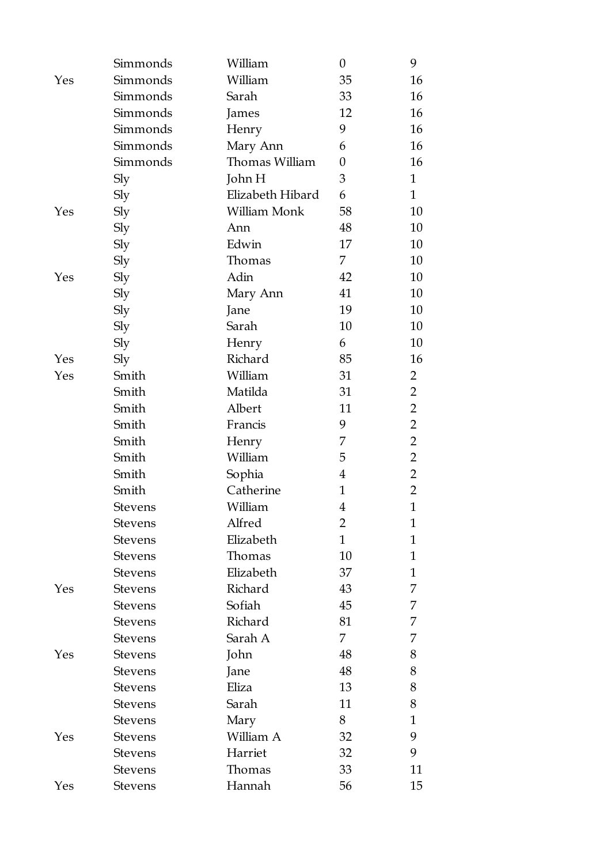|     | Simmonds       | William          | $\theta$         | 9              |
|-----|----------------|------------------|------------------|----------------|
| Yes | Simmonds       | William          | 35               | 16             |
|     | Simmonds       | Sarah            | 33               | 16             |
|     | Simmonds       | James            | 12               | 16             |
|     | Simmonds       | Henry            | 9                | 16             |
|     | Simmonds       | Mary Ann         | 6                | 16             |
|     | Simmonds       | Thomas William   | $\boldsymbol{0}$ | 16             |
|     | Sly            | John H           | 3                | $\mathbf{1}$   |
|     | Sly            | Elizabeth Hibard | 6                | $\mathbf{1}$   |
| Yes | Sly            | William Monk     | 58               | 10             |
|     | Sly            | Ann              | 48               | 10             |
|     | Sly            | Edwin            | 17               | 10             |
|     | Sly            | Thomas           | 7                | 10             |
| Yes | Sly            | Adin             | 42               | 10             |
|     | Sly            | Mary Ann         | 41               | 10             |
|     | Sly            | Jane             | 19               | 10             |
|     | Sly            | Sarah            | 10               | 10             |
|     | Sly            | Henry            | 6                | 10             |
| Yes | Sly            | Richard          | 85               | 16             |
| Yes | Smith          | William          | 31               | $\overline{2}$ |
|     | Smith          | Matilda          | 31               | $\overline{2}$ |
|     | Smith          | Albert           | 11               | $\overline{2}$ |
|     | Smith          | Francis          | 9                | $\overline{2}$ |
|     | Smith          | Henry            | 7                | $\overline{2}$ |
|     | Smith          | William          | 5                | $\overline{2}$ |
|     | Smith          | Sophia           | $\overline{4}$   | $\overline{2}$ |
|     | Smith          | Catherine        | $\mathbf{1}$     | 2              |
|     | Stevens        | William          | $\overline{4}$   | $\mathbf{1}$   |
|     | Stevens        | Alfred           | $\overline{2}$   | 1              |
|     | <b>Stevens</b> | Elizabeth        | $\mathbf{1}$     | 1              |
|     | <b>Stevens</b> | Thomas           | 10               | 1              |
|     | <b>Stevens</b> | Elizabeth        | 37               | $\mathbf{1}$   |
| Yes | <b>Stevens</b> | Richard          | 43               | 7              |
|     | <b>Stevens</b> | Sofiah           | 45               | 7              |
|     | <b>Stevens</b> | Richard          | 81               | 7              |
|     | <b>Stevens</b> | Sarah A          | 7                | 7              |
| Yes | <b>Stevens</b> | John             | 48               | 8              |
|     | <b>Stevens</b> | Jane             | 48               | 8              |
|     | <b>Stevens</b> | Eliza            | 13               | 8              |
|     | <b>Stevens</b> | Sarah            | 11               | 8              |
|     | <b>Stevens</b> | Mary             | 8                | $\mathbf{1}$   |
| Yes | <b>Stevens</b> | William A        | 32               | 9              |
|     | <b>Stevens</b> | Harriet          | 32               | 9              |
|     | <b>Stevens</b> | Thomas           | 33               | 11             |
| Yes | <b>Stevens</b> | Hannah           | 56               | 15             |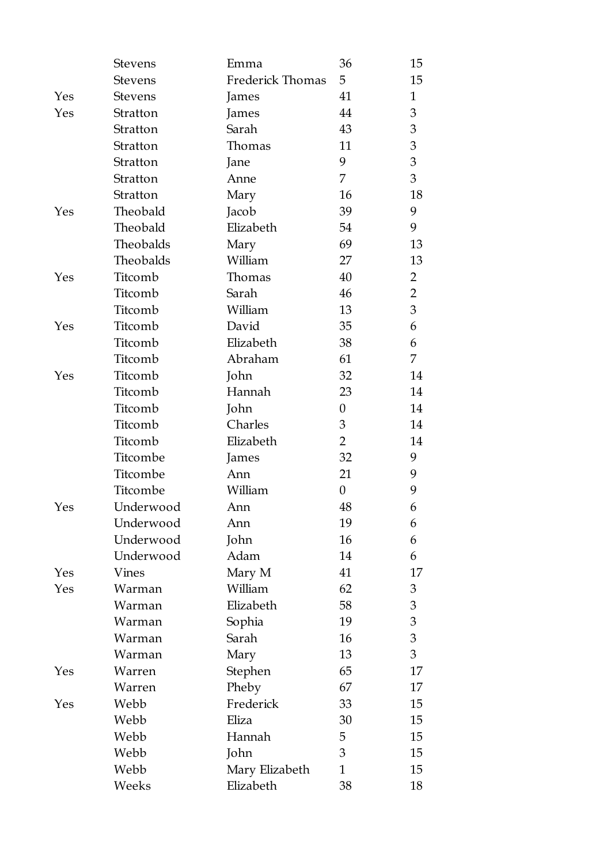|     | <b>Stevens</b> | Emma             | 36               | 15             |
|-----|----------------|------------------|------------------|----------------|
|     | <b>Stevens</b> | Frederick Thomas | 5                | 15             |
| Yes | <b>Stevens</b> | James            | 41               | $\mathbf{1}$   |
| Yes | Stratton       | James            | 44               | 3              |
|     | Stratton       | Sarah            | 43               | 3              |
|     | Stratton       | Thomas           | 11               | $\mathfrak{Z}$ |
|     | Stratton       | Jane             | 9                | 3              |
|     | Stratton       | Anne             | 7                | 3              |
|     | Stratton       | Mary             | 16               | 18             |
| Yes | Theobald       | Jacob            | 39               | 9              |
|     | Theobald       | Elizabeth        | 54               | 9              |
|     | Theobalds      | Mary             | 69               | 13             |
|     | Theobalds      | William          | 27               | 13             |
| Yes | Titcomb        | Thomas           | 40               | 2              |
|     | Titcomb        | Sarah            | 46               | $\overline{2}$ |
|     | Titcomb        | William          | 13               | 3              |
| Yes | Titcomb        | David            | 35               | 6              |
|     | Titcomb        | Elizabeth        | 38               | 6              |
|     | Titcomb        | Abraham          | 61               | 7              |
| Yes | Titcomb        | John             | 32               | 14             |
|     | Titcomb        | Hannah           | 23               | 14             |
|     | Titcomb        | John             | $\boldsymbol{0}$ | 14             |
|     | Titcomb        | Charles          | 3                | 14             |
|     | Titcomb        | Elizabeth        | $\overline{2}$   | 14             |
|     | Titcombe       | James            | 32               | 9              |
|     | Titcombe       | Ann              | 21               | 9              |
|     | Titcombe       | William          | $\boldsymbol{0}$ | 9              |
| Yes | Underwood      | Ann              | 48               | 6              |
|     | Underwood      | Ann              | 19               | 6              |
|     | Underwood      | John             | 16               | 6              |
|     | Underwood      | Adam             | 14               | 6              |
| Yes | Vines          | Mary M           | 41               | 17             |
| Yes | Warman         | William          | 62               | 3              |
|     | Warman         | Elizabeth        | 58               | 3              |
|     | Warman         | Sophia           | 19               | 3              |
|     | Warman         | Sarah            | 16               | 3              |
|     | Warman         | Mary             | 13               | 3              |
| Yes | Warren         | Stephen          | 65               | 17             |
|     | Warren         | Pheby            | 67               | 17             |
| Yes | Webb           | Frederick        | 33               | 15             |
|     | Webb           | Eliza            | 30               | 15             |
|     | Webb           | Hannah           | 5                | 15             |
|     | Webb           | John             | 3                | 15             |
|     | Webb           | Mary Elizabeth   | $\mathbf{1}$     | 15             |
|     | Weeks          | Elizabeth        | 38               | 18             |